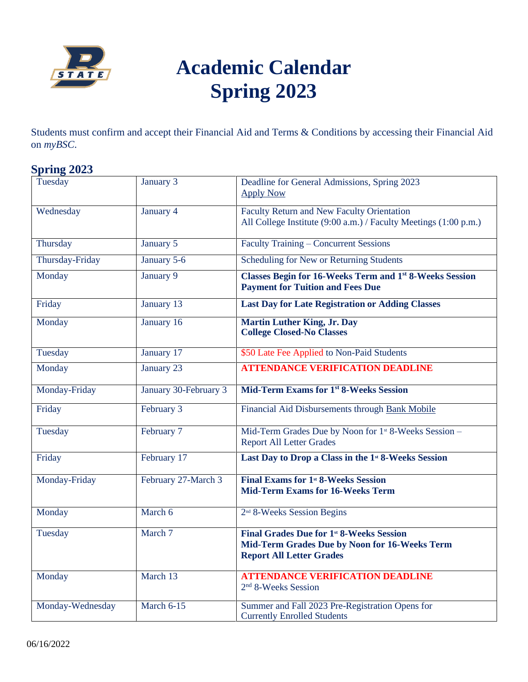

## **Academic Calendar Spring 2023**

Students must confirm and accept their Financial Aid and Terms & Conditions by accessing their Financial Aid on *myBSC*.

## **Spring 2023**

| Tuesday          | January 3             | Deadline for General Admissions, Spring 2023<br><b>Apply Now</b>                                                                    |
|------------------|-----------------------|-------------------------------------------------------------------------------------------------------------------------------------|
| Wednesday        | January 4             | <b>Faculty Return and New Faculty Orientation</b><br>All College Institute (9:00 a.m.) / Faculty Meetings (1:00 p.m.)               |
| Thursday         | January 5             | <b>Faculty Training - Concurrent Sessions</b>                                                                                       |
| Thursday-Friday  | January 5-6           | Scheduling for New or Returning Students                                                                                            |
| Monday           | January 9             | <b>Classes Begin for 16-Weeks Term and 1st 8-Weeks Session</b><br><b>Payment for Tuition and Fees Due</b>                           |
| Friday           | January 13            | <b>Last Day for Late Registration or Adding Classes</b>                                                                             |
| Monday           | January 16            | <b>Martin Luther King, Jr. Day</b><br><b>College Closed-No Classes</b>                                                              |
| Tuesday          | January 17            | \$50 Late Fee Applied to Non-Paid Students                                                                                          |
| Monday           | January 23            | <b>ATTENDANCE VERIFICATION DEADLINE</b>                                                                                             |
| Monday-Friday    | January 30-February 3 | Mid-Term Exams for 1 <sup>st</sup> 8-Weeks Session                                                                                  |
| Friday           | February 3            | Financial Aid Disbursements through Bank Mobile                                                                                     |
| Tuesday          | February 7            | Mid-Term Grades Due by Noon for 1 <sup>st</sup> 8-Weeks Session -<br><b>Report All Letter Grades</b>                                |
| Friday           | February 17           | Last Day to Drop a Class in the 1 <sup>st</sup> 8-Weeks Session                                                                     |
| Monday-Friday    | February 27-March 3   | <b>Final Exams for 1st 8-Weeks Session</b><br><b>Mid-Term Exams for 16-Weeks Term</b>                                               |
| Monday           | March 6               | 2 <sup>nd</sup> 8-Weeks Session Begins                                                                                              |
| Tuesday          | March 7               | <b>Final Grades Due for 1st 8-Weeks Session</b><br>Mid-Term Grades Due by Noon for 16-Weeks Term<br><b>Report All Letter Grades</b> |
| Monday           | March 13              | <b>ATTENDANCE VERIFICATION DEADLINE</b><br>2 <sup>nd</sup> 8-Weeks Session                                                          |
| Monday-Wednesday | March 6-15            | Summer and Fall 2023 Pre-Registration Opens for<br><b>Currently Enrolled Students</b>                                               |